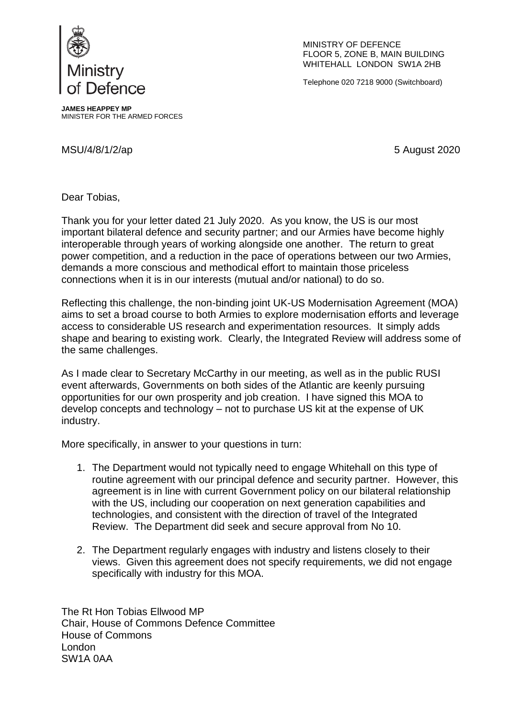

MINISTRY OF DEFENCE FLOOR 5, ZONE B, MAIN BUILDING WHITEHALL LONDON SW1A 2HB

Telephone 020 7218 9000 (Switchboard)

**JAMES HEAPPEY MP** MINISTER FOR THE ARMED FORCES

MSU/4/8/1/2/ap 5 August 2020

Dear Tobias,

Thank you for your letter dated 21 July 2020. As you know, the US is our most important bilateral defence and security partner; and our Armies have become highly interoperable through years of working alongside one another. The return to great power competition, and a reduction in the pace of operations between our two Armies, demands a more conscious and methodical effort to maintain those priceless connections when it is in our interests (mutual and/or national) to do so.

Reflecting this challenge, the non-binding joint UK-US Modernisation Agreement (MOA) aims to set a broad course to both Armies to explore modernisation efforts and leverage access to considerable US research and experimentation resources. It simply adds shape and bearing to existing work. Clearly, the Integrated Review will address some of the same challenges.

As I made clear to Secretary McCarthy in our meeting, as well as in the public RUSI event afterwards, Governments on both sides of the Atlantic are keenly pursuing opportunities for our own prosperity and job creation. I have signed this MOA to develop concepts and technology – not to purchase US kit at the expense of UK industry.

More specifically, in answer to your questions in turn:

- 1. The Department would not typically need to engage Whitehall on this type of routine agreement with our principal defence and security partner. However, this agreement is in line with current Government policy on our bilateral relationship with the US, including our cooperation on next generation capabilities and technologies, and consistent with the direction of travel of the Integrated Review. The Department did seek and secure approval from No 10.
- 2. The Department regularly engages with industry and listens closely to their views. Given this agreement does not specify requirements, we did not engage specifically with industry for this MOA.

The Rt Hon Tobias Ellwood MP Chair, House of Commons Defence Committee House of Commons London SW1A 0AA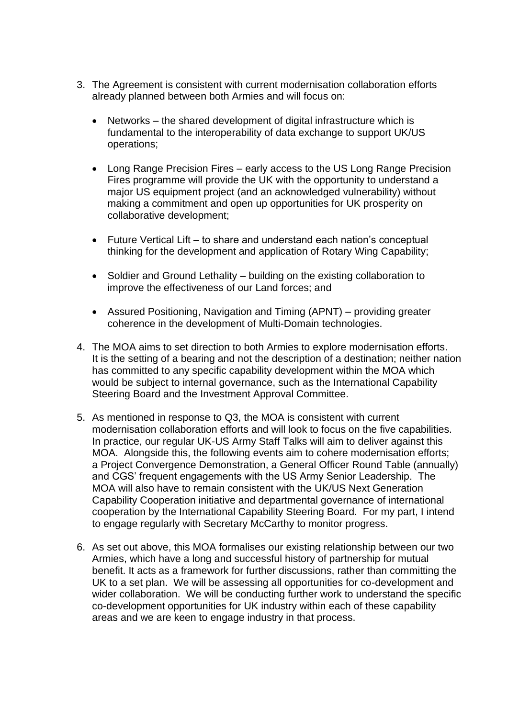- 3. The Agreement is consistent with current modernisation collaboration efforts already planned between both Armies and will focus on:
	- Networks the shared development of digital infrastructure which is fundamental to the interoperability of data exchange to support UK/US operations;
	- Long Range Precision Fires early access to the US Long Range Precision Fires programme will provide the UK with the opportunity to understand a major US equipment project (and an acknowledged vulnerability) without making a commitment and open up opportunities for UK prosperity on collaborative development;
	- Future Vertical Lift to share and understand each nation's conceptual thinking for the development and application of Rotary Wing Capability;
	- Soldier and Ground Lethality building on the existing collaboration to improve the effectiveness of our Land forces; and
	- Assured Positioning, Navigation and Timing (APNT) providing greater coherence in the development of Multi-Domain technologies.
- 4. The MOA aims to set direction to both Armies to explore modernisation efforts. It is the setting of a bearing and not the description of a destination; neither nation has committed to any specific capability development within the MOA which would be subject to internal governance, such as the International Capability Steering Board and the Investment Approval Committee.
- 5. As mentioned in response to Q3, the MOA is consistent with current modernisation collaboration efforts and will look to focus on the five capabilities. In practice, our regular UK-US Army Staff Talks will aim to deliver against this MOA. Alongside this, the following events aim to cohere modernisation efforts; a Project Convergence Demonstration, a General Officer Round Table (annually) and CGS' frequent engagements with the US Army Senior Leadership. The MOA will also have to remain consistent with the UK/US Next Generation Capability Cooperation initiative and departmental governance of international cooperation by the International Capability Steering Board. For my part, I intend to engage regularly with Secretary McCarthy to monitor progress.
- 6. As set out above, this MOA formalises our existing relationship between our two Armies, which have a long and successful history of partnership for mutual benefit. It acts as a framework for further discussions, rather than committing the UK to a set plan. We will be assessing all opportunities for co-development and wider collaboration. We will be conducting further work to understand the specific co-development opportunities for UK industry within each of these capability areas and we are keen to engage industry in that process.